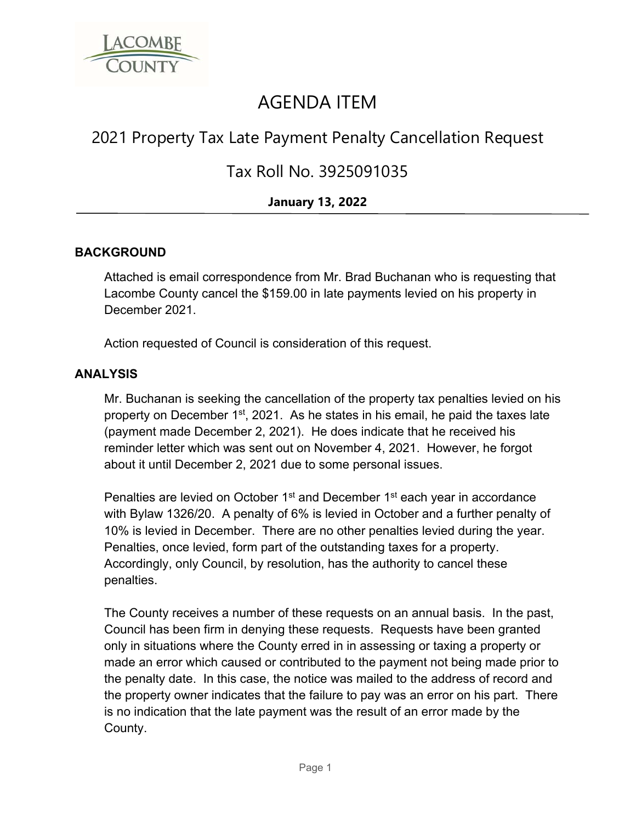

# AGENDA ITEM

## 2021 Property Tax Late Payment Penalty Cancellation Request

### Tax Roll No. 3925091035

### **January 13, 2022**

#### **BACKGROUND**

Attached is email correspondence from Mr. Brad Buchanan who is requesting that Lacombe County cancel the \$159.00 in late payments levied on his property in December 2021.

Action requested of Council is consideration of this request.

#### **ANALYSIS**

Mr. Buchanan is seeking the cancellation of the property tax penalties levied on his property on December 1<sup>st</sup>, 2021. As he states in his email, he paid the taxes late (payment made December 2, 2021). He does indicate that he received his reminder letter which was sent out on November 4, 2021. However, he forgot about it until December 2, 2021 due to some personal issues.

Penalties are levied on October 1<sup>st</sup> and December 1<sup>st</sup> each year in accordance with Bylaw 1326/20. A penalty of 6% is levied in October and a further penalty of 10% is levied in December. There are no other penalties levied during the year. Penalties, once levied, form part of the outstanding taxes for a property. Accordingly, only Council, by resolution, has the authority to cancel these penalties.

The County receives a number of these requests on an annual basis. In the past, Council has been firm in denying these requests. Requests have been granted only in situations where the County erred in in assessing or taxing a property or made an error which caused or contributed to the payment not being made prior to the penalty date. In this case, the notice was mailed to the address of record and the property owner indicates that the failure to pay was an error on his part. There is no indication that the late payment was the result of an error made by the County.